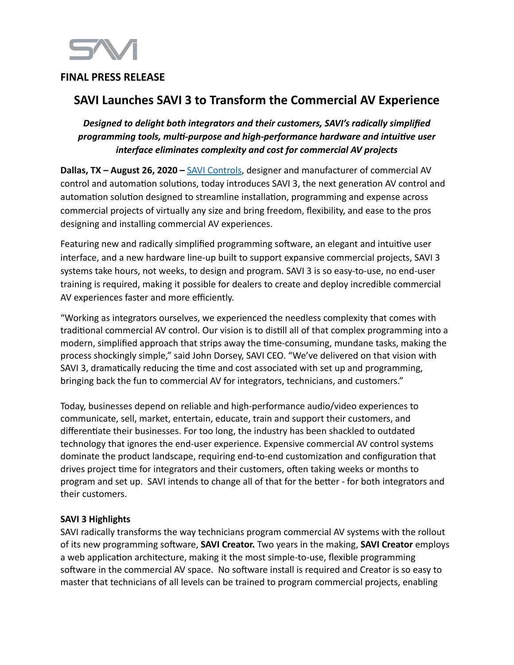## **FINAL PRESS RELEASE**

# **SAVI Launches SAVI 3 to Transform the Commercial AV Experience**

## *Designed to delight both integrators and their customers, SAVI's radically simplified programming tools, multi-purpose and high-performance hardware and intuitive user interface eliminates complexity and cost for commercial AV projects*

**Dallas, TX – August 26, 2020 – [SAVI Controls](http://www.hellosavi.com)**, designer and manufacturer of commercial AV control and automation solutions, today introduces SAVI 3, the next generation AV control and automation solution designed to streamline installation, programming and expense across commercial projects of virtually any size and bring freedom, flexibility, and ease to the pros designing and installing commercial AV experiences.

Featuring new and radically simplified programming software, an elegant and intuitive user interface, and a new hardware line-up built to support expansive commercial projects, SAVI 3 systems take hours, not weeks, to design and program. SAVI 3 is so easy-to-use, no end-user training is required, making it possible for dealers to create and deploy incredible commercial AV experiences faster and more efficiently.

"Working as integrators ourselves, we experienced the needless complexity that comes with traditional commercial AV control. Our vision is to distill all of that complex programming into a modern, simplified approach that strips away the time-consuming, mundane tasks, making the process shockingly simple," said John Dorsey, SAVI CEO. "We've delivered on that vision with SAVI 3, dramatically reducing the time and cost associated with set up and programming, bringing back the fun to commercial AV for integrators, technicians, and customers."

Today, businesses depend on reliable and high-performance audio/video experiences to communicate, sell, market, entertain, educate, train and support their customers, and differentiate their businesses. For too long, the industry has been shackled to outdated technology that ignores the end-user experience. Expensive commercial AV control systems dominate the product landscape, requiring end-to-end customization and configuration that drives project time for integrators and their customers, often taking weeks or months to program and set up. SAVI intends to change all of that for the better - for both integrators and their customers.

### **SAVI 3 Highlights**

SAVI radically transforms the way technicians program commercial AV systems with the rollout of its new programming software, **SAVI Creator.** Two years in the making, **SAVI Creator** employs a web application architecture, making it the most simple-to-use, flexible programming software in the commercial AV space. No software install is required and Creator is so easy to master that technicians of all levels can be trained to program commercial projects, enabling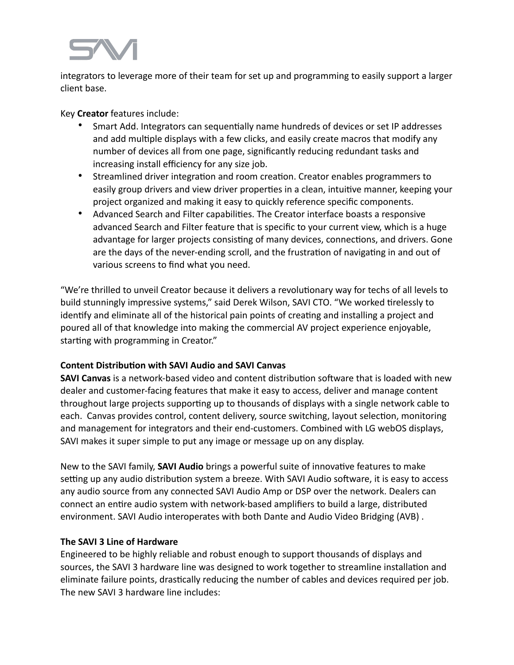integrators to leverage more of their team for set up and programming to easily support a larger client base.

Key **Creator** features include:

- Smart Add. Integrators can sequentially name hundreds of devices or set IP addresses and add multiple displays with a few clicks, and easily create macros that modify any number of devices all from one page, significantly reducing redundant tasks and increasing install efficiency for any size job.
- Streamlined driver integration and room creation. Creator enables programmers to easily group drivers and view driver properties in a clean, intuitive manner, keeping your project organized and making it easy to quickly reference specific components.
- Advanced Search and Filter capabilities. The Creator interface boasts a responsive advanced Search and Filter feature that is specific to your current view, which is a huge advantage for larger projects consisting of many devices, connections, and drivers. Gone are the days of the never-ending scroll, and the frustration of navigating in and out of various screens to find what you need.

"We're thrilled to unveil Creator because it delivers a revolutionary way for techs of all levels to build stunningly impressive systems," said Derek Wilson, SAVI CTO. "We worked tirelessly to identify and eliminate all of the historical pain points of creating and installing a project and poured all of that knowledge into making the commercial AV project experience enjoyable, starting with programming in Creator."

## **Content Distribution with SAVI Audio and SAVI Canvas**

**SAVI Canvas** is a network-based video and content distribution software that is loaded with new dealer and customer-facing features that make it easy to access, deliver and manage content throughout large projects supporting up to thousands of displays with a single network cable to each. Canvas provides control, content delivery, source switching, layout selection, monitoring and management for integrators and their end-customers. Combined with LG webOS displays, SAVI makes it super simple to put any image or message up on any display.

New to the SAVI family, **SAVI Audio** brings a powerful suite of innovative features to make setting up any audio distribution system a breeze. With SAVI Audio software, it is easy to access any audio source from any connected SAVI Audio Amp or DSP over the network. Dealers can connect an entire audio system with network-based amplifiers to build a large, distributed environment. SAVI Audio interoperates with both Dante and Audio Video Bridging (AVB) .

## **The SAVI 3 Line of Hardware**

Engineered to be highly reliable and robust enough to support thousands of displays and sources, the SAVI 3 hardware line was designed to work together to streamline installation and eliminate failure points, drastically reducing the number of cables and devices required per job. The new SAVI 3 hardware line includes: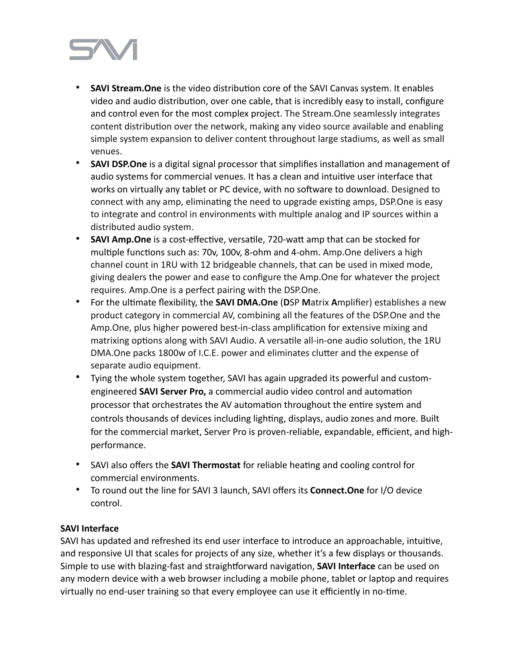

- **SAVI Stream. One** is the video distribution core of the SAVI Canvas system. It enables video and audio distribution, over one cable, that is incredibly easy to install, configure and control even for the most complex project. The Stream.One seamlessly integrates content distribution over the network, making any video source available and enabling simple system expansion to deliver content throughout large stadiums, as well as small venues.
- **SAVI DSP.One** is a digital signal processor that simplifies installation and management of audio systems for commercial venues. It has a clean and intuitive user interface that works on virtually any tablet or PC device, with no software to download. Designed to connect with any amp, eliminating the need to upgrade existing amps, DSP.One is easy to integrate and control in environments with multiple analog and IP sources within a distributed audio system.
- SAVI Amp. One is a cost-effective, versatile, 720-watt amp that can be stocked for multiple functions such as: 70v, 100v, 8-ohm and 4-ohm. Amp.One delivers a high channel count in 1RU with 12 bridgeable channels, that can be used in mixed mode, giving dealers the power and ease to configure the Amp.One for whatever the project requires. Amp.One is a perfect pairing with the DSP.One.
- For the ultimate flexibility, the **SAVI DMA.One** (DSP Matrix Amplifier) establishes a new product category in commercial AV, combining all the features of the DSP.One and the Amp.One, plus higher powered best-in-class amplification for extensive mixing and matrixing options along with SAVI Audio. A versatile all-in-one audio solution, the 1RU DMA.One packs 1800w of I.C.E. power and eliminates clutter and the expense of separate audio equipment.
- Tying the whole system together, SAVI has again upgraded its powerful and customengineered **SAVI Server Pro,** a commercial audio video control and automation processor that orchestrates the AV automation throughout the entire system and controls thousands of devices including lighting, displays, audio zones and more. Built for the commercial market, Server Pro is proven-reliable, expandable, efficient, and highperformance.
- SAVI also offers the **SAVI Thermostat** for reliable hea7ng and cooling control for commercial environments.
- To round out the line for SAVI 3 launch, SAVI offers its **Connect.One** for I/O device control.

### **SAVI Interface**

SAVI has updated and refreshed its end user interface to introduce an approachable, intuitive, and responsive UI that scales for projects of any size, whether it's a few displays or thousands. Simple to use with blazing-fast and straightforward navigation, **SAVI Interface** can be used on any modern device with a web browser including a mobile phone, tablet or laptop and requires virtually no end-user training so that every employee can use it efficiently in no-time.